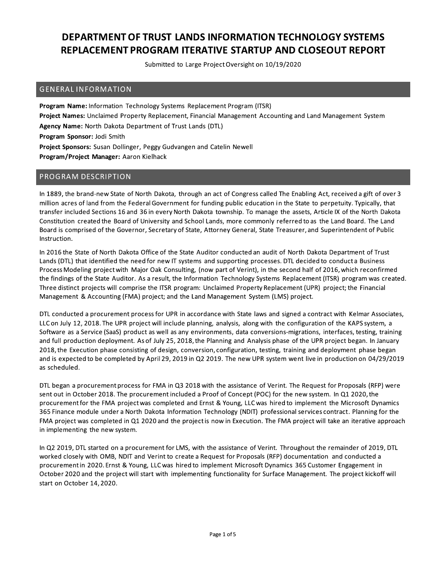Submitted to Large Project Oversight on 10/19/2020

#### **GENERAL INFORMATION**

Program Name: Information Technology Systems Replacement Program (ITSR) Project Names: Unclaimed Property Replacement, Financial Management Accounting and Land Management System Agency Name: North Dakota Department of Trust Lands (DTL) Program Sponsor: Jodi Smith Project Sponsors: Susan Dollinger, Peggy Gudvangen and Catelin Newell Program/Project Manager: Aaron Kielhack

### PROGRAM DESCRIPTION

In 1889, the brand-new State of North Dakota, through an act of Congress called The Enabling Act, received a gift of over 3 million acres of land from the Federal Government for funding public education in the State to perpetuity. Typically, that transfer included Sections 16 and 36 in every North Dakota township. To manage the assets, Article IX of the North Dakota Constitution created the Board of University and School Lands, more commonly referred to as the Land Board. The Land Board is comprised of the Governor, Secretary of State, Attorney General, State Treasurer, and Superintendent of Public Instruction.

In 2016 the State of North Dakota Office of the State Auditor conducted an audit of North Dakota Department of Trust Lands (DTL) that identified the need for new IT systems and supporting processes. DTL decided to conducta Business Process Modeling project with Major Oak Consulting, (now part of Verint), in the second half of 2016, which reconfirmed the findings of the State Auditor. As a result, the Information Technology Systems Replacement (ITSR) program was created. Three distinct projects will comprise the ITSR program: Unclaimed Property Replacement (UPR) project; the Financial Management & Accounting (FMA) project; and the Land Management System (LMS) project.

DTL conducted a procurement process for UPR in accordance with State laws and signed a contract with Kelmar Associates, LLC on July 12, 2018. The UPR project will include planning, analysis, along with the configuration of the KAPS system, a Software as a Service (SaaS) product as well as any environments, data conversions-migrations, interfaces, testing, training and full production deployment. As of July 25, 2018, the Planning and Analysis phase of the UPR project began. In January 2018, the Execution phase consisting of design, conversion, configuration, testing, training and deployment phase began and is expected to be completed by April 29, 2019 in Q2 2019. The new UPR system went live in production on 04/29/2019 as scheduled.

DTL began a procurement process for FMA in Q3 2018 with the assistance of Verint. The Request for Proposals (RFP) were sent out in October 2018. The procurement included a Proof of Concept (POC) for the new system. In Q1 2020, the procurement for the FMA project was completed and Ernst & Young, LLC was hired to implement the Microsoft Dynamics 365 Finance module under a North Dakota Information Technology (NDIT) professional services contract. Planning for the FMA project was completed in Q1 2020 and the project is now in Execution. The FMA project will take an iterative approach in implementing the new system.

In Q2 2019, DTL started on a procurement for LMS, with the assistance of Verint. Throughout the remainder of 2019, DTL worked closely with OMB, NDIT and Verint to create a Request for Proposals (RFP) documentation and conducted a procurement in 2020. Ernst & Young, LLC was hired to implement Microsoft Dynamics 365 Customer Engagement in October 2020 and the project will start with implementing functionality for Surface Management. The project kickoff will start on October 14, 2020.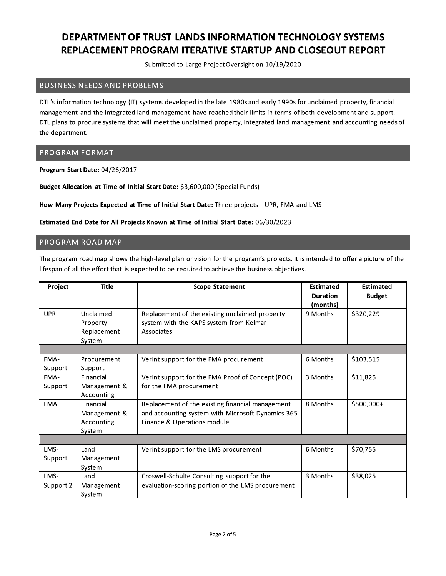Submitted to Large Project Oversight on 10/19/2020

### **BUSINESS NEEDS AND PROBLEMS**

DTL's information technology (IT) systems developed in the late 1980s and early 1990s for unclaimed property, financial management and the integrated land management have reached their limits in terms of both development and support. DTL plans to procure systems that will meet the unclaimed property, integrated land management and accounting needs of the department.

### **PROGRAM FORMAT**

Program Start Date: 04/26/2017

Budget Allocation at Time of Initial Start Date: \$3,600,000 (Special Funds)

How Many Projects Expected at Time of Initial Start Date: Three projects - UPR, FMA and LMS

Estimated End Date for All Projects Known at Time of Initial Start Date: 06/30/2023

#### PROGRAM ROAD MAP

The program road map shows the high-level plan or vision for the program's projects. It is intended to offer a picture of the lifespan of all the effort that is expected to be required to achieve the business objectives.

| Project    | <b>Title</b> | <b>Scope Statement</b>                            | Estimated       | Estimated     |
|------------|--------------|---------------------------------------------------|-----------------|---------------|
|            |              |                                                   | <b>Duration</b> | <b>Budget</b> |
|            |              |                                                   | (months)        |               |
| <b>UPR</b> | Unclaimed    | Replacement of the existing unclaimed property    | 9 Months        | \$320,229     |
|            | Property     | system with the KAPS system from Kelmar           |                 |               |
|            | Replacement  | Associates                                        |                 |               |
|            | System       |                                                   |                 |               |
|            |              |                                                   |                 |               |
| FMA-       | Procurement  | Verint support for the FMA procurement            | 6 Months        | \$103,515     |
| Support    | Support      |                                                   |                 |               |
| FMA-       | Financial    | Verint support for the FMA Proof of Concept (POC) | 3 Months        | \$11,825      |
| Support    | Management & | for the FMA procurement                           |                 |               |
|            | Accounting   |                                                   |                 |               |
| <b>FMA</b> | Financial    | Replacement of the existing financial management  | 8 Months        | \$500,000+    |
|            | Management & | and accounting system with Microsoft Dynamics 365 |                 |               |
|            | Accounting   | Finance & Operations module                       |                 |               |
|            | System       |                                                   |                 |               |
|            |              |                                                   |                 |               |
| LMS-       | Land         | Verint support for the LMS procurement            | 6 Months        | \$70,755      |
| Support    | Management   |                                                   |                 |               |
|            | System       |                                                   |                 |               |
| LMS-       | Land         | Croswell-Schulte Consulting support for the       | 3 Months        | \$38,025      |
| Support 2  | Management   | evaluation-scoring portion of the LMS procurement |                 |               |
|            | System       |                                                   |                 |               |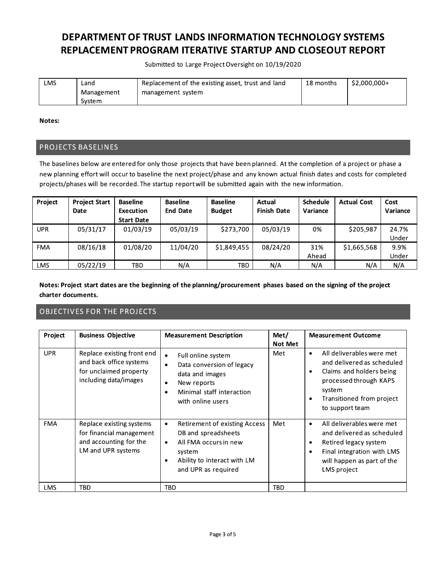Submitted to Large Project Oversight on 10/19/2020

| LMS | Land.      | Replacement of the existing asset, trust and land | 18 months | \$2,000,000+ |
|-----|------------|---------------------------------------------------|-----------|--------------|
|     | Management | management system                                 |           |              |
|     | System     |                                                   |           |              |

Notes:

#### PROJECTS BASELINES

The baselines below are entered for only those projects that have been planned. At the completion of a project or phase a new planning effort will occur to baseline the next project/phase and any known actual finish dates and costs for completed projects/phases will be recorded. The startup report will be submitted again with the new information.

| Project    | <b>Project Start</b><br>Date | <b>Baseline</b><br>Execution<br><b>Start Date</b> | <b>Baseline</b><br><b>End Date</b> | <b>Baseline</b><br><b>Budget</b> | Actual<br><b>Finish Date</b> | <b>Schedule</b><br>Variance | <b>Actual Cost</b> | Cost<br>Variance |
|------------|------------------------------|---------------------------------------------------|------------------------------------|----------------------------------|------------------------------|-----------------------------|--------------------|------------------|
| UPR        | 05/31/17                     | 01/03/19                                          | 05/03/19                           | \$273.700                        | 05/03/19                     | 0%                          | \$205.987          | 24.7%<br>Under   |
| <b>FMA</b> | 08/16/18                     | 01/08/20                                          | 11/04/20                           | \$1,849,455                      | 08/24/20                     | 31%<br>Ahead                | \$1,665,568        | 9.9%<br>Under    |
| LMS        | 05/22/19                     | TBD                                               | N/A                                | TBD                              | N/A                          | N/A                         | N/A                | N/A              |

Notes: Project start dates are the beginning of the planning/procurement phases based on the signing of the project charter documents.

### **OBJECTIVES FOR THE PROJECTS**

| Project    | <b>Business Objective</b>                                                                                | <b>Measurement Description</b>                                                                                                                                                      | Met/<br><b>Not Met</b> | <b>Measurement Outcome</b>                                                                                                                                                             |
|------------|----------------------------------------------------------------------------------------------------------|-------------------------------------------------------------------------------------------------------------------------------------------------------------------------------------|------------------------|----------------------------------------------------------------------------------------------------------------------------------------------------------------------------------------|
| <b>UPR</b> | Replace existing front end<br>and back office systems<br>for unclaimed property<br>including data/images | Full online system<br>$\bullet$<br>Data conversion of legacy<br>$\bullet$<br>data and images<br>New reports<br>$\bullet$<br>Minimal staff interaction<br>٠<br>with online users     | Met                    | All deliverables were met<br>٠<br>and delivered as scheduled<br>Claims and holders being<br>٠<br>processed through KAPS<br>system<br>Transitioned from project<br>٠<br>to support team |
| <b>FMA</b> | Replace existing systems<br>for financial management<br>and accounting for the<br>LM and UPR systems     | <b>Retirement of existing Access</b><br>$\bullet$<br>DB and spreadsheets<br>All FMA occurs in new<br>$\bullet$<br>system<br>Ability to interact with LM<br>٠<br>and UPR as required | Met                    | All deliverables were met<br>٠<br>and delivered as scheduled<br>Retired legacy system<br>٠<br>Final integration with LMS<br>٠<br>will happen as part of the<br>LMS project             |
| <b>LMS</b> | TBD                                                                                                      | TBD                                                                                                                                                                                 | <b>TBD</b>             |                                                                                                                                                                                        |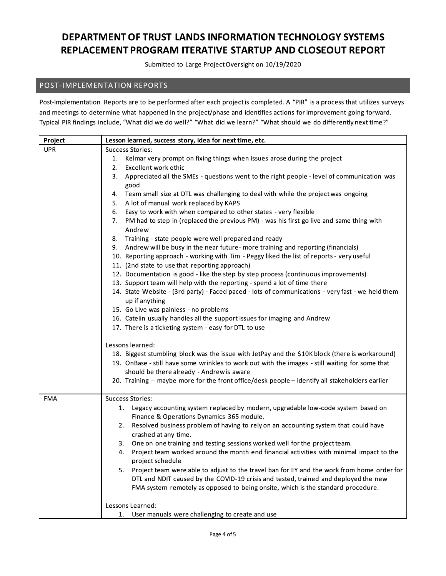Submitted to Large Project Oversight on 10/19/2020

### POST-IMPLEMENTATION REPORTS

Post-Implementation Reports are to be performed after each project is completed. A "PIR" is a process that utilizes surveys and meetings to determine what happened in the project/phase and identifies actions for improvement going forward. Typical PIR findings include, "What did we do well?" "What did we learn?" "What should we do differently next time?"

| Project    | Lesson learned, success story, idea for next time, etc.                                           |  |  |  |
|------------|---------------------------------------------------------------------------------------------------|--|--|--|
| <b>UPR</b> | <b>Success Stories:</b>                                                                           |  |  |  |
|            | Kelmar very prompt on fixing things when issues arose during the project<br>1.                    |  |  |  |
|            | Excellent work ethic<br>2.                                                                        |  |  |  |
|            | Appreciated all the SMEs - questions went to the right people - level of communication was<br>3.  |  |  |  |
|            | good                                                                                              |  |  |  |
|            | Team small size at DTL was challenging to deal with while the project was ongoing<br>4.           |  |  |  |
|            | A lot of manual work replaced by KAPS<br>5.                                                       |  |  |  |
|            | 6. Easy to work with when compared to other states - very flexible                                |  |  |  |
|            | PM had to step in (replaced the previous PM) - was his first go live and same thing with<br>7.    |  |  |  |
|            | Andrew                                                                                            |  |  |  |
|            | Training - state people were well prepared and ready<br>8.                                        |  |  |  |
|            | 9. Andrew will be busy in the near future- more training and reporting (financials)               |  |  |  |
|            | 10. Reporting approach - working with Tim - Peggy liked the list of reports - very useful         |  |  |  |
|            | 11. (2nd state to use that reporting approach)                                                    |  |  |  |
|            | 12. Documentation is good - like the step by step process (continuous improvements)               |  |  |  |
|            | 13. Support team will help with the reporting - spend a lot of time there                         |  |  |  |
|            | 14. State Website - (3rd party) - Faced paced - lots of communications - very fast - we held them |  |  |  |
|            | up if anything                                                                                    |  |  |  |
|            | 15. Go Live was painless - no problems                                                            |  |  |  |
|            | 16. Catelin usually handles all the support issues for imaging and Andrew                         |  |  |  |
|            | 17. There is a ticketing system - easy for DTL to use                                             |  |  |  |
|            | Lessons learned:                                                                                  |  |  |  |
|            | 18. Biggest stumbling block was the issue with JetPay and the \$10K block (there is workaround)   |  |  |  |
|            | 19. OnBase - still have some wrinkles to work out with the images - still waiting for some that   |  |  |  |
|            | should be there already - Andrew is aware                                                         |  |  |  |
|            | 20. Training -- maybe more for the front office/desk people - identify all stakeholders earlier   |  |  |  |
|            |                                                                                                   |  |  |  |
| FMA        | <b>Success Stories:</b>                                                                           |  |  |  |
|            | 1. Legacy accounting system replaced by modern, upgradable low-code system based on               |  |  |  |
|            | Finance & Operations Dynamics 365 module.                                                         |  |  |  |
|            | Resolved business problem of having to rely on an accounting system that could have<br>2.         |  |  |  |
|            | crashed at any time.                                                                              |  |  |  |
|            | 3. One on one training and testing sessions worked well for the project team.                     |  |  |  |
|            | Project team worked around the month end financial activities with minimal impact to the<br>4.    |  |  |  |
|            | project schedule                                                                                  |  |  |  |
|            | Project team were able to adjust to the travel ban for EY and the work from home order for<br>5.  |  |  |  |
|            | DTL and NDIT caused by the COVID-19 crisis and tested, trained and deployed the new               |  |  |  |
|            | FMA system remotely as opposed to being onsite, which is the standard procedure.                  |  |  |  |
|            | Lessons Learned:                                                                                  |  |  |  |
|            | User manuals were challenging to create and use<br>1.                                             |  |  |  |
|            |                                                                                                   |  |  |  |